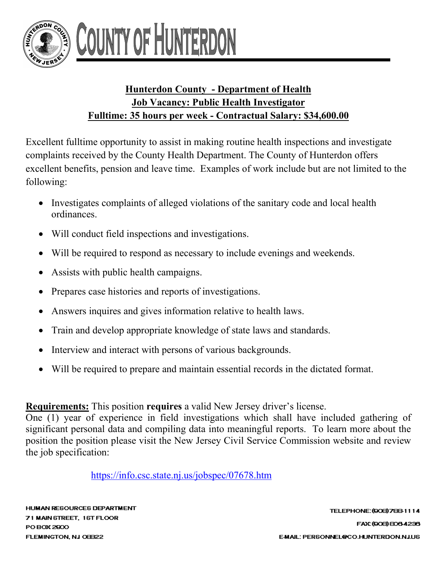

## **Hunterdon County - Department of Health Job Vacancy: Public Health Investigator Fulltime: 35 hours per week - Contractual Salary: \$34,600.00**

Excellent fulltime opportunity to assist in making routine health inspections and investigate complaints received by the County Health Department. The County of Hunterdon offers excellent benefits, pension and leave time. Examples of work include but are not limited to the following:

- Investigates complaints of alleged violations of the sanitary code and local health ordinances.
- Will conduct field inspections and investigations.
- Will be required to respond as necessary to include evenings and weekends.
- Assists with public health campaigns.
- Prepares case histories and reports of investigations.
- Answers inquires and gives information relative to health laws.
- Train and develop appropriate knowledge of state laws and standards.
- Interview and interact with persons of various backgrounds.
- Will be required to prepare and maintain essential records in the dictated format.

## **Requirements:** This position **requires** a valid New Jersey driver's license.

One (1) year of experience in field investigations which shall have included gathering of significant personal data and compiling data into meaningful reports. To learn more about the position the position please visit the New Jersey Civil Service Commission website and review the job specification:

<https://info.csc.state.nj.us/jobspec/07678.htm>

**HUMAN RESOURCES DEPARTMENT** 71 MAIN STREET, 1ST FLOOR PO BOX 2900 FLEMINGTON, NJ OEB22